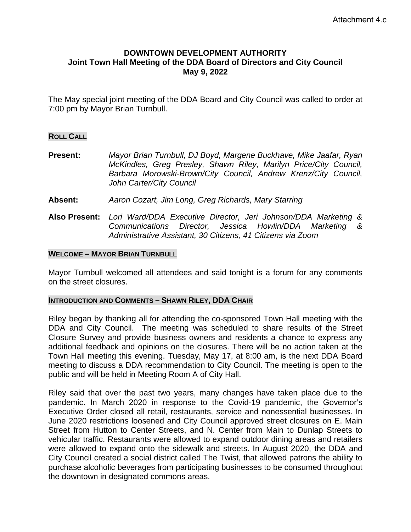# **DOWNTOWN DEVELOPMENT AUTHORITY Joint Town Hall Meeting of the DDA Board of Directors and City Council May 9, 2022**

The May special joint meeting of the DDA Board and City Council was called to order at 7:00 pm by Mayor Brian Turnbull.

## **ROLL CALL**

**Present:** *Mayor Brian Turnbull, DJ Boyd, Margene Buckhave, Mike Jaafar, Ryan McKindles, Greg Presley, Shawn Riley, Marilyn Price/City Council, Barbara Morowski-Brown/City Council, Andrew Krenz/City Council, John Carter/City Council*

- **Absent:** *Aaron Cozart, Jim Long, Greg Richards, Mary Starring*
- **Also Present:** *Lori Ward/DDA Executive Director, Jeri Johnson/DDA Marketing & Communications Director, Jessica Howlin/DDA Marketing & Administrative Assistant, 30 Citizens, 41 Citizens via Zoom*

#### **WELCOME – MAYOR BRIAN TURNBULL**

Mayor Turnbull welcomed all attendees and said tonight is a forum for any comments on the street closures.

## **INTRODUCTION AND COMMENTS – SHAWN RILEY, DDA CHAIR**

Riley began by thanking all for attending the co-sponsored Town Hall meeting with the DDA and City Council. The meeting was scheduled to share results of the Street Closure Survey and provide business owners and residents a chance to express any additional feedback and opinions on the closures. There will be no action taken at the Town Hall meeting this evening. Tuesday, May 17, at 8:00 am, is the next DDA Board meeting to discuss a DDA recommendation to City Council. The meeting is open to the public and will be held in Meeting Room A of City Hall.

Riley said that over the past two years, many changes have taken place due to the pandemic. In March 2020 in response to the Covid-19 pandemic, the Governor's Executive Order closed all retail, restaurants, service and nonessential businesses. In June 2020 restrictions loosened and City Council approved street closures on E. Main Street from Hutton to Center Streets, and N. Center from Main to Dunlap Streets to vehicular traffic. Restaurants were allowed to expand outdoor dining areas and retailers were allowed to expand onto the sidewalk and streets. In August 2020, the DDA and City Council created a social district called The Twist, that allowed patrons the ability to purchase alcoholic beverages from participating businesses to be consumed throughout the downtown in designated commons areas.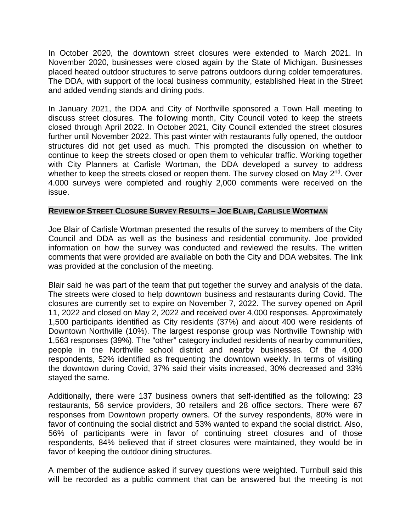In October 2020, the downtown street closures were extended to March 2021. In November 2020, businesses were closed again by the State of Michigan. Businesses placed heated outdoor structures to serve patrons outdoors during colder temperatures. The DDA, with support of the local business community, established Heat in the Street and added vending stands and dining pods.

In January 2021, the DDA and City of Northville sponsored a Town Hall meeting to discuss street closures. The following month, City Council voted to keep the streets closed through April 2022. In October 2021, City Council extended the street closures further until November 2022. This past winter with restaurants fully opened, the outdoor structures did not get used as much. This prompted the discussion on whether to continue to keep the streets closed or open them to vehicular traffic. Working together with City Planners at Carlisle Wortman, the DDA developed a survey to address whether to keep the streets closed or reopen them. The survey closed on May  $2^{nd}$ . Over 4.000 surveys were completed and roughly 2,000 comments were received on the issue.

# **REVIEW OF STREET CLOSURE SURVEY RESULTS – JOE BLAIR, CARLISLE WORTMAN**

Joe Blair of Carlisle Wortman presented the results of the survey to members of the City Council and DDA as well as the business and residential community. Joe provided information on how the survey was conducted and reviewed the results. The written comments that were provided are available on both the City and DDA websites. The link was provided at the conclusion of the meeting.

Blair said he was part of the team that put together the survey and analysis of the data. The streets were closed to help downtown business and restaurants during Covid. The closures are currently set to expire on November 7, 2022. The survey opened on April 11, 2022 and closed on May 2, 2022 and received over 4,000 responses. Approximately 1,500 participants identified as City residents (37%) and about 400 were residents of Downtown Northville (10%). The largest response group was Northville Township with 1,563 responses (39%). The "other" category included residents of nearby communities, people in the Northville school district and nearby businesses. Of the 4,000 respondents, 52% identified as frequenting the downtown weekly. In terms of visiting the downtown during Covid, 37% said their visits increased, 30% decreased and 33% stayed the same.

Additionally, there were 137 business owners that self-identified as the following: 23 restaurants, 56 service providers, 30 retailers and 28 office sectors. There were 67 responses from Downtown property owners. Of the survey respondents, 80% were in favor of continuing the social district and 53% wanted to expand the social district. Also, 56% of participants were in favor of continuing street closures and of those respondents, 84% believed that if street closures were maintained, they would be in favor of keeping the outdoor dining structures.

A member of the audience asked if survey questions were weighted. Turnbull said this will be recorded as a public comment that can be answered but the meeting is not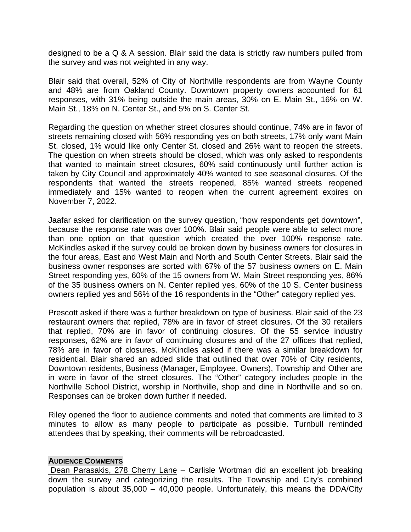designed to be a Q & A session. Blair said the data is strictly raw numbers pulled from the survey and was not weighted in any way.

Blair said that overall, 52% of City of Northville respondents are from Wayne County and 48% are from Oakland County. Downtown property owners accounted for 61 responses, with 31% being outside the main areas, 30% on E. Main St., 16% on W. Main St., 18% on N. Center St., and 5% on S. Center St.

Regarding the question on whether street closures should continue, 74% are in favor of streets remaining closed with 56% responding yes on both streets, 17% only want Main St. closed, 1% would like only Center St. closed and 26% want to reopen the streets. The question on when streets should be closed, which was only asked to respondents that wanted to maintain street closures, 60% said continuously until further action is taken by City Council and approximately 40% wanted to see seasonal closures. Of the respondents that wanted the streets reopened, 85% wanted streets reopened immediately and 15% wanted to reopen when the current agreement expires on November 7, 2022.

Jaafar asked for clarification on the survey question, "how respondents get downtown", because the response rate was over 100%. Blair said people were able to select more than one option on that question which created the over 100% response rate. McKindles asked if the survey could be broken down by business owners for closures in the four areas, East and West Main and North and South Center Streets. Blair said the business owner responses are sorted with 67% of the 57 business owners on E. Main Street responding yes, 60% of the 15 owners from W. Main Street responding yes, 86% of the 35 business owners on N. Center replied yes, 60% of the 10 S. Center business owners replied yes and 56% of the 16 respondents in the "Other" category replied yes.

Prescott asked if there was a further breakdown on type of business. Blair said of the 23 restaurant owners that replied, 78% are in favor of street closures. Of the 30 retailers that replied, 70% are in favor of continuing closures. Of the 55 service industry responses, 62% are in favor of continuing closures and of the 27 offices that replied, 78% are in favor of closures. McKindles asked if there was a similar breakdown for residential. Blair shared an added slide that outlined that over 70% of City residents, Downtown residents, Business (Manager, Employee, Owners), Township and Other are in were in favor of the street closures. The "Other" category includes people in the Northville School District, worship in Northville, shop and dine in Northville and so on. Responses can be broken down further if needed.

Riley opened the floor to audience comments and noted that comments are limited to 3 minutes to allow as many people to participate as possible. Turnbull reminded attendees that by speaking, their comments will be rebroadcasted.

#### **AUDIENCE COMMENTS**

Dean Parasakis, 278 Cherry Lane – Carlisle Wortman did an excellent job breaking down the survey and categorizing the results. The Township and City's combined population is about 35,000 – 40,000 people. Unfortunately, this means the DDA/City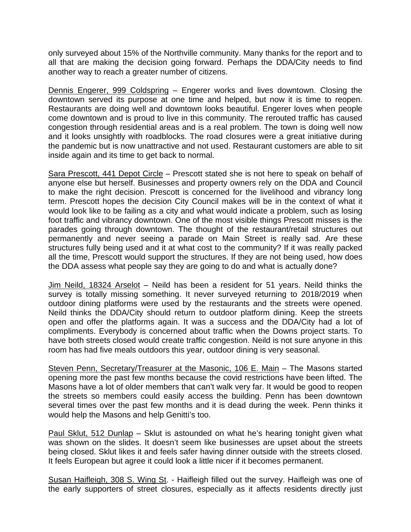only surveyed about 15% of the Northville community. Many thanks for the report and to all that are making the decision going forward. Perhaps the DDA/City needs to find another way to reach a greater number of citizens.

Dennis Engerer, 999 Coldspring – Engerer works and lives downtown. Closing the downtown served its purpose at one time and helped, but now it is time to reopen. Restaurants are doing well and downtown looks beautiful. Engerer loves when people come downtown and is proud to live in this community. The rerouted traffic has caused congestion through residential areas and is a real problem. The town is doing well now and it looks unsightly with roadblocks. The road closures were a great initiative during the pandemic but is now unattractive and not used. Restaurant customers are able to sit inside again and its time to get back to normal.

Sara Prescott, 441 Depot Circle - Prescott stated she is not here to speak on behalf of anyone else but herself. Businesses and property owners rely on the DDA and Council to make the right decision. Prescott is concerned for the livelihood and vibrancy long term. Prescott hopes the decision City Council makes will be in the context of what it would look like to be failing as a city and what would indicate a problem, such as losing foot traffic and vibrancy downtown. One of the most visible things Prescott misses is the parades going through downtown. The thought of the restaurant/retail structures out permanently and never seeing a parade on Main Street is really sad. Are these structures fully being used and it at what cost to the community? If it was really packed all the time, Prescott would support the structures. If they are not being used, how does the DDA assess what people say they are going to do and what is actually done?

Jim Neild, 18324 Arselot – Neild has been a resident for 51 years. Neild thinks the survey is totally missing something. It never surveyed returning to 2018/2019 when outdoor dining platforms were used by the restaurants and the streets were opened. Neild thinks the DDA/City should return to outdoor platform dining. Keep the streets open and offer the platforms again. It was a success and the DDA/City had a lot of compliments. Everybody is concerned about traffic when the Downs project starts. To have both streets closed would create traffic congestion. Neild is not sure anyone in this room has had five meals outdoors this year, outdoor dining is very seasonal.

Steven Penn, Secretary/Treasurer at the Masonic, 106 E. Main - The Masons started opening more the past few months because the covid restrictions have been lifted. The Masons have a lot of older members that can't walk very far. It would be good to reopen the streets so members could easily access the building. Penn has been downtown several times over the past few months and it is dead during the week. Penn thinks it would help the Masons and help Genitti's too.

Paul Sklut, 512 Dunlap – Sklut is astounded on what he's hearing tonight given what was shown on the slides. It doesn't seem like businesses are upset about the streets being closed. Sklut likes it and feels safer having dinner outside with the streets closed. It feels European but agree it could look a little nicer if it becomes permanent.

Susan Haifleigh, 308 S. Wing St. - Haifleigh filled out the survey. Haifleigh was one of the early supporters of street closures, especially as it affects residents directly just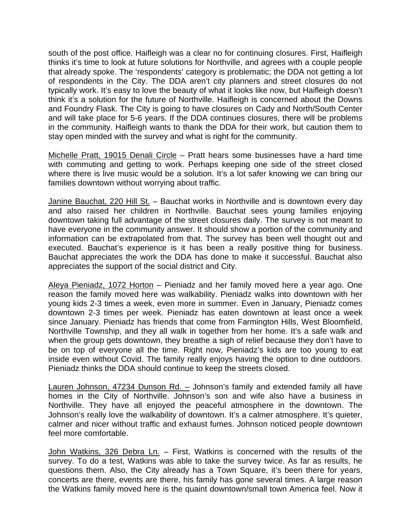south of the post office. Haifleigh was a clear no for continuing closures. First, Haifleigh thinks it's time to look at future solutions for Northville, and agrees with a couple people that already spoke. The 'respondents' category is problematic; the DDA not getting a lot of respondents in the City. The DDA aren't city planners and street closures do not typically work. It's easy to love the beauty of what it looks like now, but Haifleigh doesn't think it's a solution for the future of Northville. Haifleigh is concerned about the Downs and Foundry Flask. The City is going to have closures on Cady and North/South Center and will take place for 5-6 years. If the DDA continues closures, there will be problems in the community. Haifleigh wants to thank the DDA for their work, but caution them to stay open minded with the survey and what is right for the community.

Michelle Pratt, 19015 Denali Circle – Pratt hears some businesses have a hard time with commuting and getting to work. Perhaps keeping one side of the street closed where there is live music would be a solution. It's a lot safer knowing we can bring our families downtown without worrying about traffic.

Janine Bauchat, 220 Hill St. – Bauchat works in Northville and is downtown every day and also raised her children in Northville. Bauchat sees young families enjoying downtown taking full advantage of the street closures daily. The survey is not meant to have everyone in the community answer. It should show a portion of the community and information can be extrapolated from that. The survey has been well thought out and executed. Bauchat's experience is it has been a really positive thing for business. Bauchat appreciates the work the DDA has done to make it successful. Bauchat also appreciates the support of the social district and City.

Aleya Pieniadz, 1072 Horton – Pieniadz and her family moved here a year ago. One reason the family moved here was walkability. Pieniadz walks into downtown with her young kids 2-3 times a week, even more in summer. Even in January, Pieniadz comes downtown 2-3 times per week. Pieniadz has eaten downtown at least once a week since January. Pieniadz has friends that come from Farmington Hills, West Bloomfield, Northville Township, and they all walk in together from her home. It's a safe walk and when the group gets downtown, they breathe a sigh of relief because they don't have to be on top of everyone all the time. Right now, Pieniadz's kids are too young to eat inside even without Covid. The family really enjoys having the option to dine outdoors. Pieniadz thinks the DDA should continue to keep the streets closed.

Lauren Johnson, 47234 Dunson Rd. - Johnson's family and extended family all have homes in the City of Northville. Johnson's son and wife also have a business in Northville. They have all enjoyed the peaceful atmosphere in the downtown. The Johnson's really love the walkability of downtown. It's a calmer atmosphere. It's quieter, calmer and nicer without traffic and exhaust fumes. Johnson noticed people downtown feel more comfortable.

John Watkins, 326 Debra Ln. – First, Watkins is concerned with the results of the survey. To do a test, Watkins was able to take the survey twice. As far as results, he questions them. Also, the City already has a Town Square, it's been there for years, concerts are there, events are there, his family has gone several times. A large reason the Watkins family moved here is the quaint downtown/small town America feel. Now it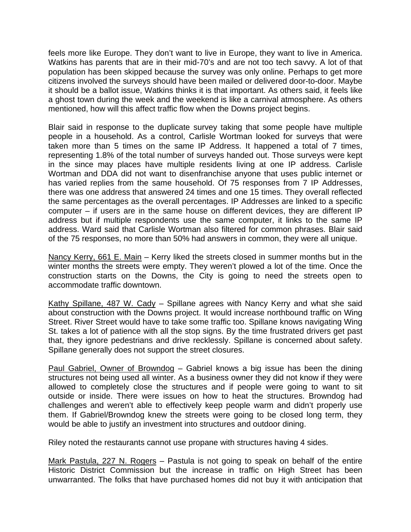feels more like Europe. They don't want to live in Europe, they want to live in America. Watkins has parents that are in their mid-70's and are not too tech savvy. A lot of that population has been skipped because the survey was only online. Perhaps to get more citizens involved the surveys should have been mailed or delivered door-to-door. Maybe it should be a ballot issue, Watkins thinks it is that important. As others said, it feels like a ghost town during the week and the weekend is like a carnival atmosphere. As others mentioned, how will this affect traffic flow when the Downs project begins.

Blair said in response to the duplicate survey taking that some people have multiple people in a household. As a control, Carlisle Wortman looked for surveys that were taken more than 5 times on the same IP Address. It happened a total of 7 times, representing 1.8% of the total number of surveys handed out. Those surveys were kept in the since may places have multiple residents living at one IP address. Carlisle Wortman and DDA did not want to disenfranchise anyone that uses public internet or has varied replies from the same household. Of 75 responses from 7 IP Addresses, there was one address that answered 24 times and one 15 times. They overall reflected the same percentages as the overall percentages. IP Addresses are linked to a specific computer – if users are in the same house on different devices, they are different IP address but if multiple respondents use the same computer, it links to the same IP address. Ward said that Carlisle Wortman also filtered for common phrases. Blair said of the 75 responses, no more than 50% had answers in common, they were all unique.

Nancy Kerry, 661 E. Main – Kerry liked the streets closed in summer months but in the winter months the streets were empty. They weren't plowed a lot of the time. Once the construction starts on the Downs, the City is going to need the streets open to accommodate traffic downtown.

Kathy Spillane, 487 W. Cady – Spillane agrees with Nancy Kerry and what she said about construction with the Downs project. It would increase northbound traffic on Wing Street. River Street would have to take some traffic too. Spillane knows navigating Wing St. takes a lot of patience with all the stop signs. By the time frustrated drivers get past that, they ignore pedestrians and drive recklessly. Spillane is concerned about safety. Spillane generally does not support the street closures.

Paul Gabriel, Owner of Browndog - Gabriel knows a big issue has been the dining structures not being used all winter. As a business owner they did not know if they were allowed to completely close the structures and if people were going to want to sit outside or inside. There were issues on how to heat the structures. Browndog had challenges and weren't able to effectively keep people warm and didn't properly use them. If Gabriel/Browndog knew the streets were going to be closed long term, they would be able to justify an investment into structures and outdoor dining.

Riley noted the restaurants cannot use propane with structures having 4 sides.

Mark Pastula, 227 N. Rogers – Pastula is not going to speak on behalf of the entire Historic District Commission but the increase in traffic on High Street has been unwarranted. The folks that have purchased homes did not buy it with anticipation that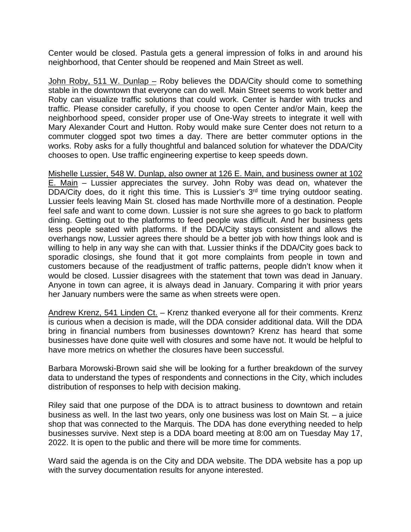Center would be closed. Pastula gets a general impression of folks in and around his neighborhood, that Center should be reopened and Main Street as well.

John Roby, 511 W. Dunlap – Roby believes the DDA/City should come to something stable in the downtown that everyone can do well. Main Street seems to work better and Roby can visualize traffic solutions that could work. Center is harder with trucks and traffic. Please consider carefully, if you choose to open Center and/or Main, keep the neighborhood speed, consider proper use of One-Way streets to integrate it well with Mary Alexander Court and Hutton. Roby would make sure Center does not return to a commuter clogged spot two times a day. There are better commuter options in the works. Roby asks for a fully thoughtful and balanced solution for whatever the DDA/City chooses to open. Use traffic engineering expertise to keep speeds down.

Mishelle Lussier, 548 W. Dunlap, also owner at 126 E. Main, and business owner at 102 E. Main – Lussier appreciates the survey. John Roby was dead on, whatever the DDA/City does, do it right this time. This is Lussier's 3<sup>rd</sup> time trying outdoor seating. Lussier feels leaving Main St. closed has made Northville more of a destination. People feel safe and want to come down. Lussier is not sure she agrees to go back to platform dining. Getting out to the platforms to feed people was difficult. And her business gets less people seated with platforms. If the DDA/City stays consistent and allows the overhangs now, Lussier agrees there should be a better job with how things look and is willing to help in any way she can with that. Lussier thinks if the DDA/City goes back to sporadic closings, she found that it got more complaints from people in town and customers because of the readjustment of traffic patterns, people didn't know when it would be closed. Lussier disagrees with the statement that town was dead in January. Anyone in town can agree, it is always dead in January. Comparing it with prior years her January numbers were the same as when streets were open.

Andrew Krenz, 541 Linden Ct. – Krenz thanked everyone all for their comments. Krenz is curious when a decision is made, will the DDA consider additional data. Will the DDA bring in financial numbers from businesses downtown? Krenz has heard that some businesses have done quite well with closures and some have not. It would be helpful to have more metrics on whether the closures have been successful.

Barbara Morowski-Brown said she will be looking for a further breakdown of the survey data to understand the types of respondents and connections in the City, which includes distribution of responses to help with decision making.

Riley said that one purpose of the DDA is to attract business to downtown and retain business as well. In the last two years, only one business was lost on Main St. – a juice shop that was connected to the Marquis. The DDA has done everything needed to help businesses survive. Next step is a DDA board meeting at 8:00 am on Tuesday May 17, 2022. It is open to the public and there will be more time for comments.

Ward said the agenda is on the City and DDA website. The DDA website has a pop up with the survey documentation results for anyone interested.